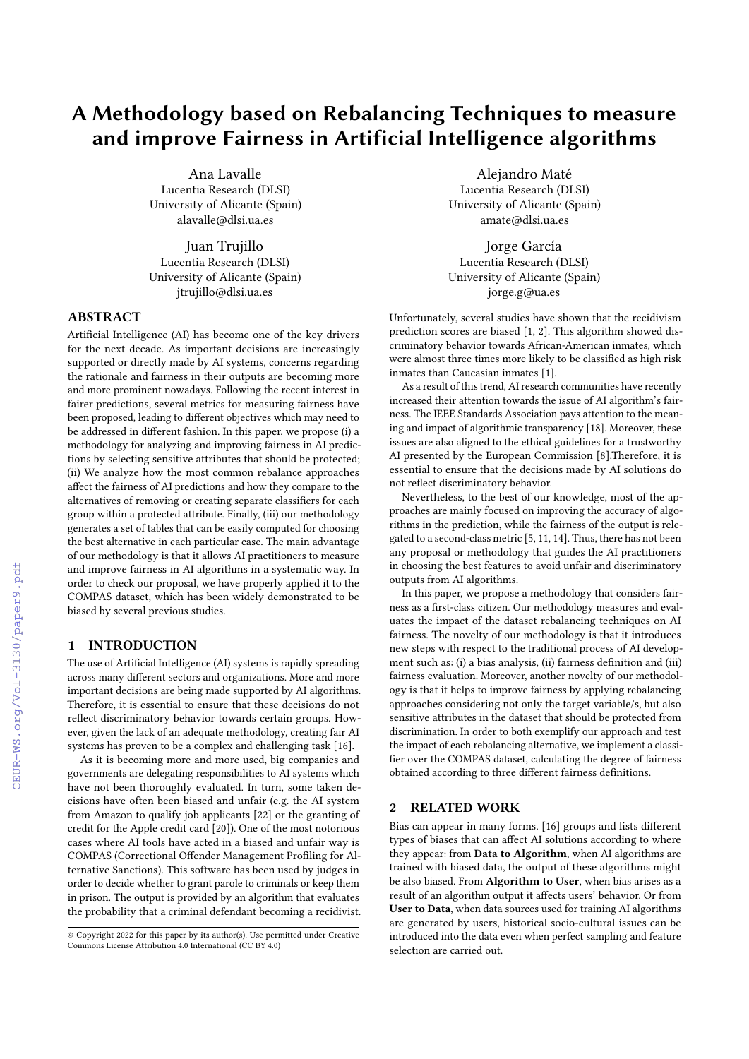# A Methodology based on Rebalancing Techniques to measure and improve Fairness in Artificial Intelligence algorithms

Ana Lavalle Lucentia Research (DLSI) University of Alicante (Spain) alavalle@dlsi.ua.es

Juan Trujillo Lucentia Research (DLSI) University of Alicante (Spain) jtrujillo@dlsi.ua.es

# ABSTRACT

Artificial Intelligence (AI) has become one of the key drivers for the next decade. As important decisions are increasingly supported or directly made by AI systems, concerns regarding the rationale and fairness in their outputs are becoming more and more prominent nowadays. Following the recent interest in fairer predictions, several metrics for measuring fairness have been proposed, leading to different objectives which may need to be addressed in different fashion. In this paper, we propose (i) a methodology for analyzing and improving fairness in AI predictions by selecting sensitive attributes that should be protected; (ii) We analyze how the most common rebalance approaches affect the fairness of AI predictions and how they compare to the alternatives of removing or creating separate classifiers for each group within a protected attribute. Finally, (iii) our methodology generates a set of tables that can be easily computed for choosing the best alternative in each particular case. The main advantage of our methodology is that it allows AI practitioners to measure and improve fairness in AI algorithms in a systematic way. In order to check our proposal, we have properly applied it to the COMPAS dataset, which has been widely demonstrated to be biased by several previous studies.

# 1 INTRODUCTION

The use of Artificial Intelligence (AI) systems is rapidly spreading across many different sectors and organizations. More and more important decisions are being made supported by AI algorithms. Therefore, it is essential to ensure that these decisions do not reflect discriminatory behavior towards certain groups. However, given the lack of an adequate methodology, creating fair AI systems has proven to be a complex and challenging task [\[16\]](#page--1-0).

As it is becoming more and more used, big companies and governments are delegating responsibilities to AI systems which have not been thoroughly evaluated. In turn, some taken decisions have often been biased and unfair (e.g. the AI system from Amazon to qualify job applicants [\[22\]](#page--1-1) or the granting of credit for the Apple credit card [\[20\]](#page--1-2)). One of the most notorious cases where AI tools have acted in a biased and unfair way is COMPAS (Correctional Offender Management Profiling for Alternative Sanctions). This software has been used by judges in order to decide whether to grant parole to criminals or keep them in prison. The output is provided by an algorithm that evaluates the probability that a criminal defendant becoming a recidivist.

Alejandro Maté Lucentia Research (DLSI) University of Alicante (Spain) amate@dlsi.ua.es

Jorge García Lucentia Research (DLSI) University of Alicante (Spain) jorge.g@ua.es

Unfortunately, several studies have shown that the recidivism prediction scores are biased [\[1,](#page--1-3) [2\]](#page--1-4). This algorithm showed discriminatory behavior towards African-American inmates, which were almost three times more likely to be classified as high risk inmates than Caucasian inmates [\[1\]](#page--1-3).

As a result of this trend, AI research communities have recently increased their attention towards the issue of AI algorithm's fairness. The IEEE Standards Association pays attention to the meaning and impact of algorithmic transparency [\[18\]](#page--1-5). Moreover, these issues are also aligned to the ethical guidelines for a trustworthy AI presented by the European Commission [\[8\]](#page--1-6).Therefore, it is essential to ensure that the decisions made by AI solutions do not reflect discriminatory behavior.

Nevertheless, to the best of our knowledge, most of the approaches are mainly focused on improving the accuracy of algorithms in the prediction, while the fairness of the output is relegated to a second-class metric [\[5,](#page--1-7) [11,](#page--1-8) [14\]](#page--1-9). Thus, there has not been any proposal or methodology that guides the AI practitioners in choosing the best features to avoid unfair and discriminatory outputs from AI algorithms.

In this paper, we propose a methodology that considers fairness as a first-class citizen. Our methodology measures and evaluates the impact of the dataset rebalancing techniques on AI fairness. The novelty of our methodology is that it introduces new steps with respect to the traditional process of AI development such as: (i) a bias analysis, (ii) fairness definition and (iii) fairness evaluation. Moreover, another novelty of our methodology is that it helps to improve fairness by applying rebalancing approaches considering not only the target variable/s, but also sensitive attributes in the dataset that should be protected from discrimination. In order to both exemplify our approach and test the impact of each rebalancing alternative, we implement a classifier over the COMPAS dataset, calculating the degree of fairness obtained according to three different fairness definitions.

# 2 RELATED WORK

Bias can appear in many forms. [\[16\]](#page--1-0) groups and lists different types of biases that can affect AI solutions according to where they appear: from Data to Algorithm, when AI algorithms are trained with biased data, the output of these algorithms might be also biased. From Algorithm to User, when bias arises as a result of an algorithm output it affects users' behavior. Or from User to Data, when data sources used for training AI algorithms are generated by users, historical socio-cultural issues can be introduced into the data even when perfect sampling and feature selection are carried out.

<sup>©</sup> Copyright 2022 for this paper by its author(s). Use permitted under Creative Commons License Attribution 4.0 International (CC BY 4.0)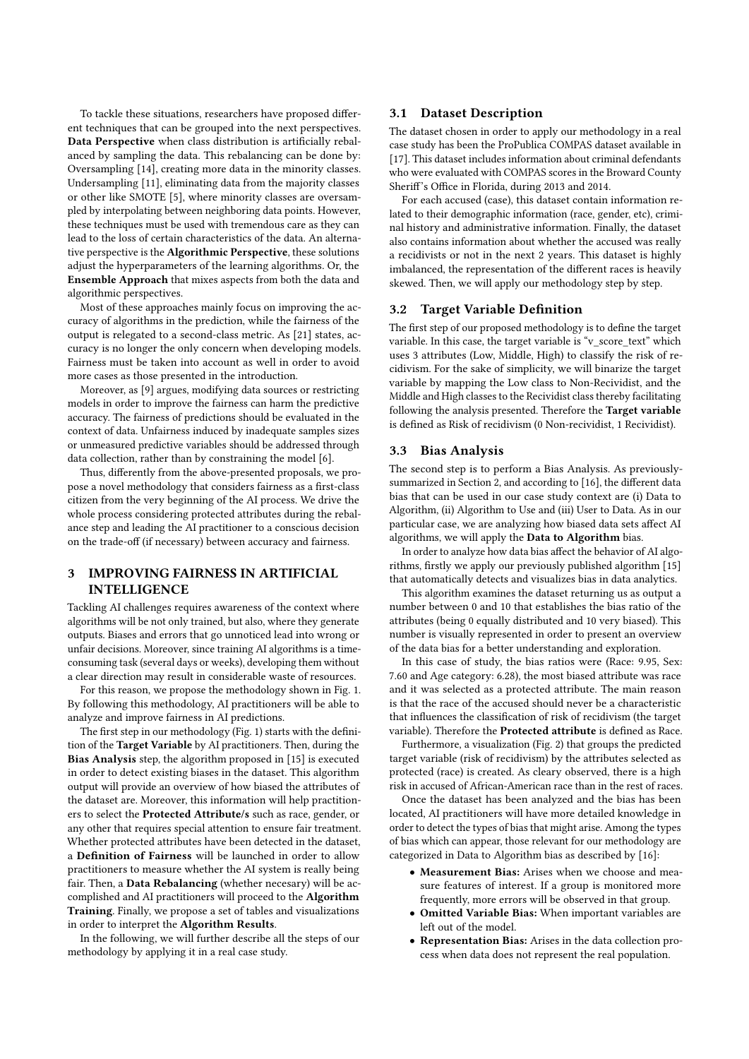To tackle these situations, researchers have proposed different techniques that can be grouped into the next perspectives. Data Perspective when class distribution is artificially rebalanced by sampling the data. This rebalancing can be done by: Oversampling [\[14\]](#page-4-0), creating more data in the minority classes. Undersampling [\[11\]](#page-4-1), eliminating data from the majority classes or other like SMOTE [\[5\]](#page-4-2), where minority classes are oversampled by interpolating between neighboring data points. However, these techniques must be used with tremendous care as they can lead to the loss of certain characteristics of the data. An alternative perspective is the Algorithmic Perspective, these solutions adjust the hyperparameters of the learning algorithms. Or, the Ensemble Approach that mixes aspects from both the data and algorithmic perspectives.

Most of these approaches mainly focus on improving the accuracy of algorithms in the prediction, while the fairness of the output is relegated to a second-class metric. As [\[21\]](#page-4-3) states, accuracy is no longer the only concern when developing models. Fairness must be taken into account as well in order to avoid more cases as those presented in the introduction.

Moreover, as [\[9\]](#page-4-4) argues, modifying data sources or restricting models in order to improve the fairness can harm the predictive accuracy. The fairness of predictions should be evaluated in the context of data. Unfairness induced by inadequate samples sizes or unmeasured predictive variables should be addressed through data collection, rather than by constraining the model [\[6\]](#page-4-5).

Thus, differently from the above-presented proposals, we propose a novel methodology that considers fairness as a first-class citizen from the very beginning of the AI process. We drive the whole process considering protected attributes during the rebalance step and leading the AI practitioner to a conscious decision on the trade-off (if necessary) between accuracy and fairness.

# 3 IMPROVING FAIRNESS IN ARTIFICIAL INTELLIGENCE

Tackling AI challenges requires awareness of the context where algorithms will be not only trained, but also, where they generate outputs. Biases and errors that go unnoticed lead into wrong or unfair decisions. Moreover, since training AI algorithms is a timeconsuming task (several days or weeks), developing them without a clear direction may result in considerable waste of resources.

For this reason, we propose the methodology shown in Fig. [1.](#page-2-0) By following this methodology, AI practitioners will be able to analyze and improve fairness in AI predictions.

The first step in our methodology (Fig. [1\)](#page-2-0) starts with the definition of the Target Variable by AI practitioners. Then, during the Bias Analysis step, the algorithm proposed in [\[15\]](#page-4-6) is executed in order to detect existing biases in the dataset. This algorithm output will provide an overview of how biased the attributes of the dataset are. Moreover, this information will help practitioners to select the Protected Attribute/s such as race, gender, or any other that requires special attention to ensure fair treatment. Whether protected attributes have been detected in the dataset, a Definition of Fairness will be launched in order to allow practitioners to measure whether the AI system is really being fair. Then, a Data Rebalancing (whether necesary) will be accomplished and AI practitioners will proceed to the Algorithm Training. Finally, we propose a set of tables and visualizations in order to interpret the Algorithm Results.

In the following, we will further describe all the steps of our methodology by applying it in a real case study.

## 3.1 Dataset Description

The dataset chosen in order to apply our methodology in a real case study has been the ProPublica COMPAS dataset available in [\[17\]](#page-4-7). This dataset includes information about criminal defendants who were evaluated with COMPAS scores in the Broward County Sheriff's Office in Florida, during 2013 and 2014.

For each accused (case), this dataset contain information related to their demographic information (race, gender, etc), criminal history and administrative information. Finally, the dataset also contains information about whether the accused was really a recidivists or not in the next 2 years. This dataset is highly imbalanced, the representation of the different races is heavily skewed. Then, we will apply our methodology step by step.

# **Target Variable Definition**

The first step of our proposed methodology is to define the target variable. In this case, the target variable is "v\_score\_text" which uses 3 attributes (Low, Middle, High) to classify the risk of recidivism. For the sake of simplicity, we will binarize the target variable by mapping the Low class to Non-Recividist, and the Middle and High classes to the Recividist class thereby facilitating following the analysis presented. Therefore the Target variable is defined as Risk of recidivism (0 Non-recividist, 1 Recividist).

#### 3.3 Bias Analysis

The second step is to perform a Bias Analysis. As previouslysummarized in Section 2, and according to [\[16\]](#page-4-8), the different data bias that can be used in our case study context are (i) Data to Algorithm, (ii) Algorithm to Use and (iii) User to Data. As in our particular case, we are analyzing how biased data sets affect AI algorithms, we will apply the Data to Algorithm bias.

In order to analyze how data bias affect the behavior of AI algorithms, firstly we apply our previously published algorithm [\[15\]](#page-4-6) that automatically detects and visualizes bias in data analytics.

This algorithm examines the dataset returning us as output a number between 0 and 10 that establishes the bias ratio of the attributes (being 0 equally distributed and 10 very biased). This number is visually represented in order to present an overview of the data bias for a better understanding and exploration.

In this case of study, the bias ratios were (Race: 9.95, Sex: 7.60 and Age category: 6.28), the most biased attribute was race and it was selected as a protected attribute. The main reason is that the race of the accused should never be a characteristic that influences the classification of risk of recidivism (the target variable). Therefore the Protected attribute is defined as Race.

Furthermore, a visualization (Fig. [2\)](#page-2-1) that groups the predicted target variable (risk of recidivism) by the attributes selected as protected (race) is created. As cleary observed, there is a high risk in accused of African-American race than in the rest of races.

Once the dataset has been analyzed and the bias has been located, AI practitioners will have more detailed knowledge in order to detect the types of bias that might arise. Among the types of bias which can appear, those relevant for our methodology are categorized in Data to Algorithm bias as described by [\[16\]](#page-4-8):

- Measurement Bias: Arises when we choose and measure features of interest. If a group is monitored more frequently, more errors will be observed in that group.
- Omitted Variable Bias: When important variables are left out of the model.
- Representation Bias: Arises in the data collection process when data does not represent the real population.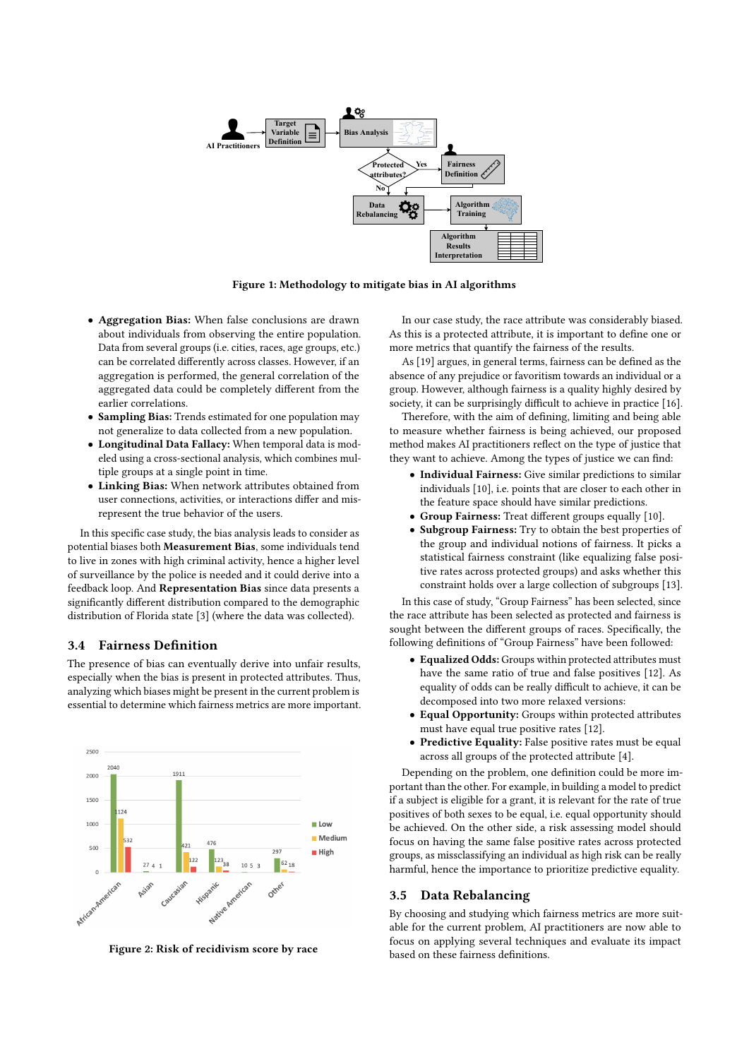<span id="page-2-0"></span>

Figure 1: Methodology to mitigate bias in AI algorithms

- Aggregation Bias: When false conclusions are drawn about individuals from observing the entire population. Data from several groups (i.e. cities, races, age groups, etc.) can be correlated differently across classes. However, if an aggregation is performed, the general correlation of the aggregated data could be completely different from the earlier correlations.
- Sampling Bias: Trends estimated for one population may not generalize to data collected from a new population.
- Longitudinal Data Fallacy: When temporal data is modeled using a cross-sectional analysis, which combines multiple groups at a single point in time.
- Linking Bias: When network attributes obtained from user connections, activities, or interactions differ and misrepresent the true behavior of the users.

In this specific case study, the bias analysis leads to consider as potential biases both Measurement Bias, some individuals tend to live in zones with high criminal activity, hence a higher level of surveillance by the police is needed and it could derive into a feedback loop. And Representation Bias since data presents a significantly different distribution compared to the demographic distribution of Florida state [\[3\]](#page-4-9) (where the data was collected).

#### <span id="page-2-2"></span>3.4 Fairness Definition

The presence of bias can eventually derive into unfair results, especially when the bias is present in protected attributes. Thus, analyzing which biases might be present in the current problem is essential to determine which fairness metrics are more important.

<span id="page-2-1"></span>

Figure 2: Risk of recidivism score by race

In our case study, the race attribute was considerably biased. As this is a protected attribute, it is important to define one or more metrics that quantify the fairness of the results.

As [\[19\]](#page-4-10) argues, in general terms, fairness can be defined as the absence of any prejudice or favoritism towards an individual or a group. However, although fairness is a quality highly desired by society, it can be surprisingly difficult to achieve in practice [\[16\]](#page-4-8).

Therefore, with the aim of defining, limiting and being able to measure whether fairness is being achieved, our proposed method makes AI practitioners reflect on the type of justice that they want to achieve. Among the types of justice we can find:

- Individual Fairness: Give similar predictions to similar individuals [\[10\]](#page-4-11), i.e. points that are closer to each other in the feature space should have similar predictions.
- Group Fairness: Treat different groups equally [\[10\]](#page-4-11).
- Subgroup Fairness: Try to obtain the best properties of the group and individual notions of fairness. It picks a statistical fairness constraint (like equalizing false positive rates across protected groups) and asks whether this constraint holds over a large collection of subgroups [\[13\]](#page-4-12).

In this case of study, "Group Fairness" has been selected, since the race attribute has been selected as protected and fairness is sought between the different groups of races. Specifically, the following definitions of "Group Fairness" have been followed:

- Equalized Odds: Groups within protected attributes must have the same ratio of true and false positives [\[12\]](#page-4-13). As equality of odds can be really difficult to achieve, it can be decomposed into two more relaxed versions:
- Equal Opportunity: Groups within protected attributes must have equal true positive rates [\[12\]](#page-4-13).
- Predictive Equality: False positive rates must be equal across all groups of the protected attribute [\[4\]](#page-4-14).

Depending on the problem, one definition could be more important than the other. For example, in building a model to predict if a subject is eligible for a grant, it is relevant for the rate of true positives of both sexes to be equal, i.e. equal opportunity should be achieved. On the other side, a risk assessing model should focus on having the same false positive rates across protected groups, as missclassifying an individual as high risk can be really harmful, hence the importance to prioritize predictive equality.

#### 3.5 Data Rebalancing

By choosing and studying which fairness metrics are more suitable for the current problem, AI practitioners are now able to focus on applying several techniques and evaluate its impact based on these fairness definitions.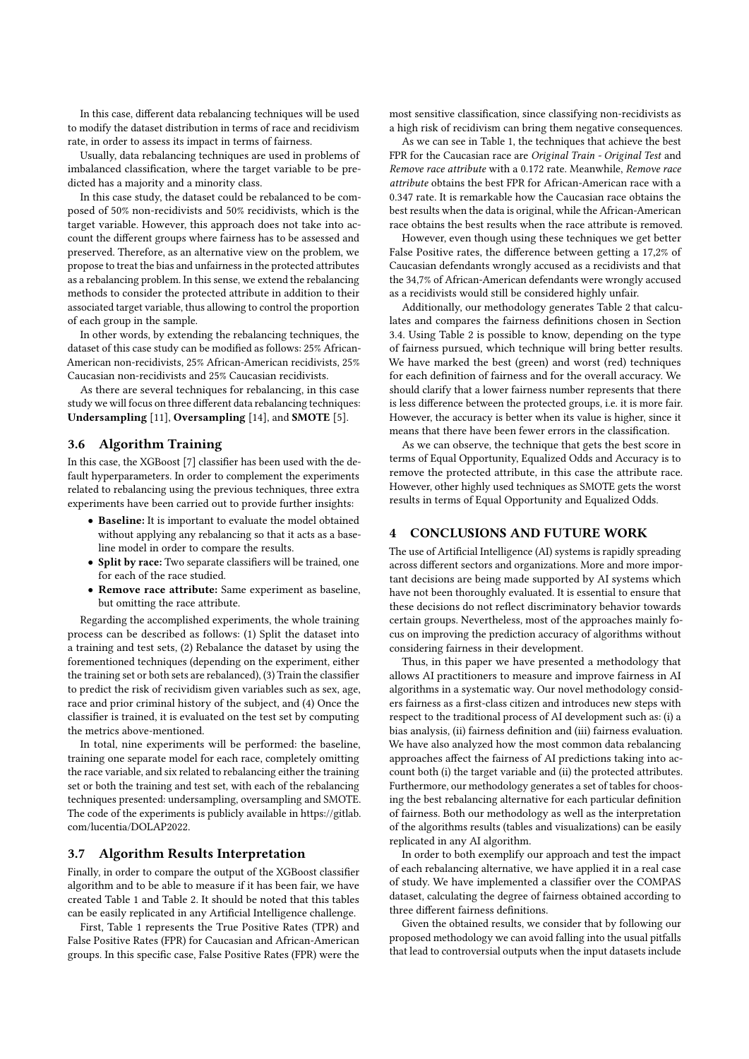In this case, different data rebalancing techniques will be used to modify the dataset distribution in terms of race and recidivism rate, in order to assess its impact in terms of fairness.

Usually, data rebalancing techniques are used in problems of imbalanced classification, where the target variable to be predicted has a majority and a minority class.

In this case study, the dataset could be rebalanced to be composed of 50% non-recidivists and 50% recidivists, which is the target variable. However, this approach does not take into account the different groups where fairness has to be assessed and preserved. Therefore, as an alternative view on the problem, we propose to treat the bias and unfairness in the protected attributes as a rebalancing problem. In this sense, we extend the rebalancing methods to consider the protected attribute in addition to their associated target variable, thus allowing to control the proportion of each group in the sample.

In other words, by extending the rebalancing techniques, the dataset of this case study can be modified as follows: 25% African-American non-recidivists, 25% African-American recidivists, 25% Caucasian non-recidivists and 25% Caucasian recidivists.

As there are several techniques for rebalancing, in this case study we will focus on three different data rebalancing techniques: Undersampling [\[11\]](#page-4-1), Oversampling [\[14\]](#page-4-0), and SMOTE [\[5\]](#page-4-2).

# 3.6 Algorithm Training

In this case, the XGBoost [\[7\]](#page-4-15) classifier has been used with the default hyperparameters. In order to complement the experiments related to rebalancing using the previous techniques, three extra experiments have been carried out to provide further insights:

- Baseline: It is important to evaluate the model obtained without applying any rebalancing so that it acts as a baseline model in order to compare the results.
- Split by race: Two separate classifiers will be trained, one for each of the race studied.
- Remove race attribute: Same experiment as baseline, but omitting the race attribute.

Regarding the accomplished experiments, the whole training process can be described as follows: (1) Split the dataset into a training and test sets, (2) Rebalance the dataset by using the forementioned techniques (depending on the experiment, either the training set or both sets are rebalanced), (3) Train the classifier to predict the risk of recividism given variables such as sex, age, race and prior criminal history of the subject, and (4) Once the classifier is trained, it is evaluated on the test set by computing the metrics above-mentioned.

In total, nine experiments will be performed: the baseline, training one separate model for each race, completely omitting the race variable, and six related to rebalancing either the training set or both the training and test set, with each of the rebalancing techniques presented: undersampling, oversampling and SMOTE. The code of the experiments is publicly available in [https://gitlab.](https://gitlab.com/lucentia/DOLAP2022) [com/lucentia/DOLAP2022.](https://gitlab.com/lucentia/DOLAP2022)

# 3.7 Algorithm Results Interpretation

Finally, in order to compare the output of the XGBoost classifier algorithm and to be able to measure if it has been fair, we have created Table [1](#page-4-16) and Table [2.](#page-4-17) It should be noted that this tables can be easily replicated in any Artificial Intelligence challenge.

First, Table [1](#page-4-16) represents the True Positive Rates (TPR) and False Positive Rates (FPR) for Caucasian and African-American groups. In this specific case, False Positive Rates (FPR) were the

most sensitive classification, since classifying non-recidivists as a high risk of recidivism can bring them negative consequences.

As we can see in Table [1,](#page-4-16) the techniques that achieve the best FPR for the Caucasian race are Original Train - Original Test and Remove race attribute with a 0.172 rate. Meanwhile, Remove race attribute obtains the best FPR for African-American race with a 0.347 rate. It is remarkable how the Caucasian race obtains the best results when the data is original, while the African-American race obtains the best results when the race attribute is removed.

However, even though using these techniques we get better False Positive rates, the difference between getting a 17,2% of Caucasian defendants wrongly accused as a recidivists and that the 34,7% of African-American defendants were wrongly accused as a recidivists would still be considered highly unfair.

Additionally, our methodology generates Table [2](#page-4-17) that calculates and compares the fairness definitions chosen in Section [3.4.](#page-2-2) Using Table [2](#page-4-17) is possible to know, depending on the type of fairness pursued, which technique will bring better results. We have marked the best (green) and worst (red) techniques for each definition of fairness and for the overall accuracy. We should clarify that a lower fairness number represents that there is less difference between the protected groups, i.e. it is more fair. However, the accuracy is better when its value is higher, since it means that there have been fewer errors in the classification.

As we can observe, the technique that gets the best score in terms of Equal Opportunity, Equalized Odds and Accuracy is to remove the protected attribute, in this case the attribute race. However, other highly used techniques as SMOTE gets the worst results in terms of Equal Opportunity and Equalized Odds.

# 4 CONCLUSIONS AND FUTURE WORK

The use of Artificial Intelligence (AI) systems is rapidly spreading across different sectors and organizations. More and more important decisions are being made supported by AI systems which have not been thoroughly evaluated. It is essential to ensure that these decisions do not reflect discriminatory behavior towards certain groups. Nevertheless, most of the approaches mainly focus on improving the prediction accuracy of algorithms without considering fairness in their development.

Thus, in this paper we have presented a methodology that allows AI practitioners to measure and improve fairness in AI algorithms in a systematic way. Our novel methodology considers fairness as a first-class citizen and introduces new steps with respect to the traditional process of AI development such as: (i) a bias analysis, (ii) fairness definition and (iii) fairness evaluation. We have also analyzed how the most common data rebalancing approaches affect the fairness of AI predictions taking into account both (i) the target variable and (ii) the protected attributes. Furthermore, our methodology generates a set of tables for choosing the best rebalancing alternative for each particular definition of fairness. Both our methodology as well as the interpretation of the algorithms results (tables and visualizations) can be easily replicated in any AI algorithm.

In order to both exemplify our approach and test the impact of each rebalancing alternative, we have applied it in a real case of study. We have implemented a classifier over the COMPAS dataset, calculating the degree of fairness obtained according to three different fairness definitions.

Given the obtained results, we consider that by following our proposed methodology we can avoid falling into the usual pitfalls that lead to controversial outputs when the input datasets include